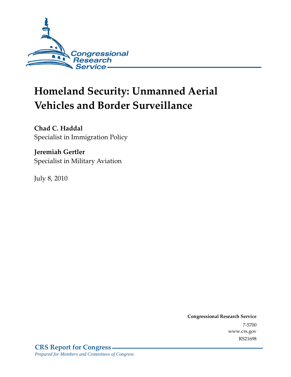

# **Homeland Security: Unmanned Aerial Vehicles and Border Surveillance**

**Chad C. Haddal**  Specialist in Immigration Policy

**Jeremiah Gertler**  Specialist in Military Aviation

July 8, 2010

**Congressional Research Service** 7-5700 www.crs.gov RS21698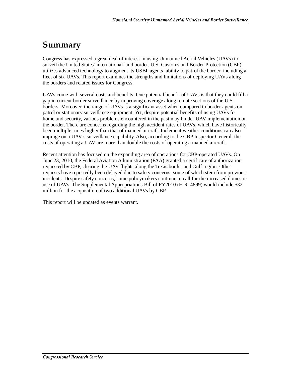## **Summary**

Congress has expressed a great deal of interest in using Unmanned Aerial Vehicles (UAVs) to surveil the United States' international land border. U.S. Customs and Border Protection (CBP) utilizes advanced technology to augment its USBP agents' ability to patrol the border, including a fleet of six UAVs. This report examines the strengths and limitations of deploying UAVs along the borders and related issues for Congress.

UAVs come with several costs and benefits. One potential benefit of UAVs is that they could fill a gap in current border surveillance by improving coverage along remote sections of the U.S. borders. Moreover, the range of UAVs is a significant asset when compared to border agents on patrol or stationary surveillance equipment. Yet, despite potential benefits of using UAVs for homeland security, various problems encountered in the past may hinder UAV implementation on the border. There are concerns regarding the high accident rates of UAVs, which have historically been multiple times higher than that of manned aircraft. Inclement weather conditions can also impinge on a UAV's surveillance capability. Also, according to the CBP Inspector General, the costs of operating a UAV are more than double the costs of operating a manned aircraft.

Recent attention has focused on the expanding area of operations for CBP-operated UAVs. On June 23, 2010, the Federal Aviation Administration (FAA) granted a certificate of authorization requested by CBP, clearing the UAV flights along the Texas border and Gulf region. Other requests have reportedly been delayed due to safety concerns, some of which stem from previous incidents. Despite safety concerns, some policymakers continue to call for the increased domestic use of UAVs. The Supplemental Appropriations Bill of FY2010 (H.R. 4899) would include \$32 million for the acquisition of two additional UAVs by CBP.

This report will be updated as events warrant.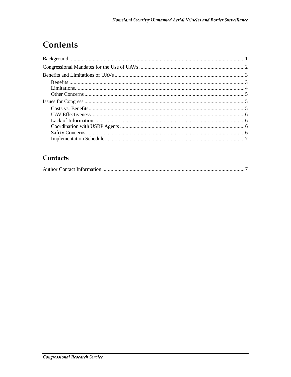## Contents

#### Contacts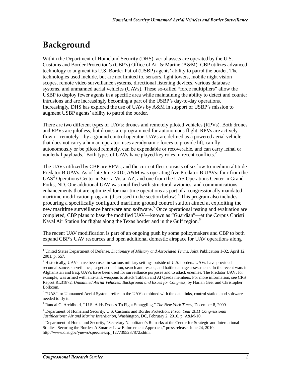## **Background**

Within the Department of Homeland Security (DHS), aerial assets are operated by the U.S. Customs and Border Protection's (CBP's) Office of Air & Marine (A&M). CBP utilizes advanced technology to augment its U.S. Border Patrol (USBP) agents' ability to patrol the border. The technologies used include, but are not limited to, sensors, light towers, mobile night vision scopes, remote video surveillance systems, directional listening devices, various database systems, and unmanned aerial vehicles (UAVs). These so-called "force multipliers" allow the USBP to deploy fewer agents in a specific area while maintaining the ability to detect and counter intrusions and are increasingly becoming a part of the USBP's day-to-day operations. Increasingly, DHS has explored the use of UAVs by A&M in support of USBP's mission to augment USBP agents' ability to patrol the border.

There are two different types of UAVs: drones and remotely piloted vehicles (RPVs). Both drones and RPVs are pilotless, but drones are programmed for autonomous flight. RPVs are actively flown—remotely—by a ground control operator. UAVs are defined as a powered aerial vehicle that does not carry a human operator, uses aerodynamic forces to provide lift, can fly autonomously or be piloted remotely, can be expendable or recoverable, and can carry lethal or nonlethal payloads.<sup>1</sup> Both types of UAVs have played key roles in recent conflicts.<sup>2</sup>

The UAVs utilized by CBP are RPVs, and the current fleet consists of six low-to-medium altitude Predator B UAVs. As of late June 2010, A&M was operating five Predator B UAVs: four from the UAS<sup>3</sup> Operations Center in Sierra Vista, AZ, and one from the UAS Operations Center in Grand Forks, ND. One additional UAV was modified with structural, avionics, and communications enhancements that are optimized for maritime operations as part of a congressionally mandated maritime modification program (discussed in the section below).<sup>4</sup> This program also includes procuring a specifically configured maritime ground control station aimed at exploiting the new maritime surveillance hardware and software.<sup>5</sup> Once operational testing and evaluation are completed, CBP plans to base the modified UAV—known as "Guardian"—at the Corpus Christi Naval Air Station for flights along the Texas border and in the Gulf region.<sup>6</sup>

The recent UAV modification is part of an ongoing push by some policymakers and CBP to both expand CBP's UAV resources and open additional domestic airspace for UAV operations along

<u>.</u>

<sup>&</sup>lt;sup>1</sup> United States Department of Defense, *Dictionary of Military and Associated Terms*, Joint Publication 1-02, April 12, 2001, p. 557.

 $2$  Historically, UAVs have been used in various military settings outside of U.S. borders. UAVs have provided reconnaissance, surveillance, target acquisition, search and rescue, and battle damage assessments. In the recent wars in Afghanistan and Iraq, UAVs have been used for surveillance purposes and to attack enemies. The Predator UAV, for example, was armed with anti-tank weapons to attack Taliban and Al Qaeda members. For more information, see CRS Report RL31872, *Unmanned Aerial Vehicles: Background and Issues for Congress*, by Harlan Geer and Christopher Bolkcom.

<sup>&</sup>lt;sup>3</sup> "UAS", or Unmanned Aerial System, refers to the UAV combined with the data links, control station, and software needed to fly it.

<sup>4</sup> Randal C. Archibold, " U.S. Adds Drones To Fight Smuggling," *The New York Times*, December 8, 2009.

<sup>5</sup> Department of Homeland Security, U.S. Customs and Border Protection, *Fiscal Year 2011 Congressional Justifications: Air and Marine Interdiction*, Washington, DC, February 2, 2010, p. A&M-10.

<sup>&</sup>lt;sup>6</sup> Department of Homeland Security, "Secretary Napolitano's Remarks at the Center for Strategic and International Studies: Securing the Border: A Smarter Law Enforcement Approach," press release, June 24, 2010, http://www.dhs.gov/ynews/speeches/sp\_1277395237872.shtm.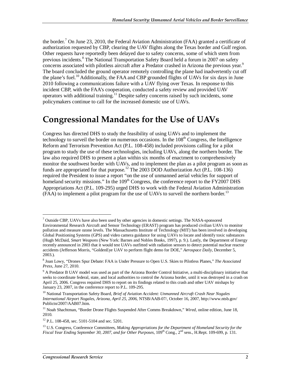the border.<sup>7</sup> On June 23, 2010, the Federal Aviation Administration (FAA) granted a certificate of authorization requested by CBP, clearing the UAV flights along the Texas border and Gulf region. Other requests have reportedly been delayed due to safety concerns, some of which stem from previous incidents.<sup>8</sup> The National Transportation Safety Board held a forum in 2007 on safety concerns associated with pilotless aircraft after a Predator crashed in Arizona the previous year.<sup>9</sup> The board concluded the ground operator remotely controlling the plane had inadvertently cut off the plane's fuel.<sup>10</sup> Additionally, the FAA and CBP grounded flights of UAVs for six days in June 2010 following a communications failure with a UAV flying over Texas. In response to this incident CBP, with the FAA's cooperation, conducted a safety review and provided UAV operators with additional training.11 Despite safety concerns raised by such incidents, some policymakers continue to call for the increased domestic use of UAVs.

## **Congressional Mandates for the Use of UAVs**

Congress has directed DHS to study the feasibility of using UAVs and to implement the technology to surveil the border on numerous occasions. In the  $108<sup>th</sup>$  Congress, the Intelligence Reform and Terrorism Prevention Act (P.L. 108-458) included provisions calling for a pilot program to study the use of these technologies, including UAVs, along the northern border. The law also required DHS to present a plan within six months of enactment to comprehensively monitor the southwest border with UAVs, and to implement the plan as a pilot program as soon as funds are appropriated for that purpose.<sup>12</sup> The 2003 DOD Authorization Act (P.L. 108-136) required the President to issue a report "on the use of unmanned aerial vehicles for support of homeland security missions." In the  $109<sup>th</sup>$  Congress, the conference report to the FY2007 DHS Appropriations Act (P.L. 109-295) urged DHS to work with the Federal Aviation Administration (FAA) to implement a pilot program for the use of UAVs to surveil the northern border.<sup>13</sup>

1

 $7$  Outside CBP, UAVs have also been used by other agencies in domestic settings. The NASA-sponsored Environmental Research Aircraft and Sensor Technology (ERAST) program has produced civilian UAVs to monitor pollution and measure ozone levels. The Massachusetts Institute of Technology (MIT) has been involved in developing Global Positioning Systems (GPS) and video camera guidance for using UAVs to locate and identify toxic substances (Hugh McDaid, *Smart Weapons* (New York: Barnes and Nobles Books, 1997), p. 9.). Lastly, the Department of Energy recently announced in 2003 that it would test UAVs outfitted with radiation sensors to detect potential nuclear reactor accidents (Jefferson Morris, "GoldenEye UAV to perform flight demo for DOE," *Aerospace Daily*, December 5, 2003.).

<sup>8</sup> Joan Lowy, "Drones Spur Debate: FAA is Under Pressure to Open U.S. Skies to Pilotless Planes," *The Associated Press*, June 27, 2010.

<sup>&</sup>lt;sup>9</sup> A Predator B UAV model was used as part of the Arizona Border Control Initiative, a multi-disciplinary initiative that seeks to coordinate federal, state, and local authorities to control the Arizona border, until it was destroyed in a crash on April 25, 2006. Congress required DHS to report on its findings related to this crash and other UAV mishaps by January 23, 2007, in the conference report to P.L. 109-295.

<sup>10</sup> National Transportation Safety Board, *Brief of Aviation Accident: Unmanned Aircraft Crash Near Nogales International Airport Nogales, Arizona, April 25, 2006*, NTSB/AAB-07/, October 16, 2007, http://www.ntsb.gov/ Publictn/2007/AAB07.htm.

<sup>&</sup>lt;sup>11</sup> Noah Shachtman, "Border Drone Flights Suspended After Comms Breakdown," *Wired*, online edition, June 18, 2010.

 $12$  P.L. 108-458, sec. 5101-5104 and sec. 5201.

<sup>&</sup>lt;sup>13</sup> U.S. Congress, Conference Committees, *Making Appropriations for the Department of Homeland Security for the Fiscal Year Ending September 30, 2007, and for Other Purposes*, 109th Cong., 2nd sess., H.Rept. 109-699, p. 131.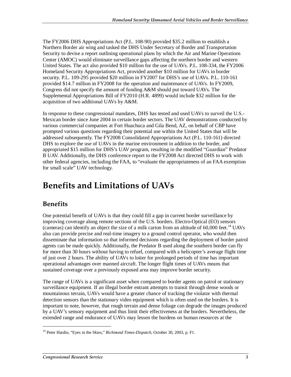The FY2006 DHS Appropriations Act (P.L. 108-90) provided \$35.2 million to establish a Northern Border air wing and tasked the DHS Under Secretary of Border and Transportation Security to devise a report outlining operational plans by which the Air and Marine Operations Center (AMOC) would eliminate surveillance gaps affecting the northern border and western United States. The act also provided \$10 million for the use of UAVs. P.L. 108-334, the FY2006 Homeland Security Appropriations Act, provided another \$10 million for UAVs in border security. P.L. 109-295 provided \$20 million in FY2007 for DHS's use of UAVs. P.L. 110-161 provided \$14.7 million in FY2008 for the operation and maintenance of UAVs. In FY2009, Congress did not specify the amount of funding A&M should put toward UAVs. The Supplemental Appropriations Bill of FY2010 (H.R. 4899) would include \$32 million for the acquisition of two additional UAVs by A&M.

In response to these congressional mandates, DHS has tested and used UAVs to surveil the U.S.- Mexican border since June 2004 in certain border sectors. The UAV demonstrations conducted by various commercial companies at Fort Huachuca and Gila Bend, AZ, on behalf of CBP have prompted various questions regarding their potential use within the United States that will be addressed subsequently. The FY2008 Consolidated Appropriations Act (P.L. 110-161) directed DHS to explore the use of UAVs in the marine environment in addition to the border, and appropriated \$15 million for DHS's UAV program, resulting in the modified "Guardian" Predator B UAV. Additionally, the DHS conference report to the FY2008 Act directed DHS to work with other federal agencies, including the FAA, to "evaluate the appropriateness of an FAA exemption for small scale" UAV technology.

## **Benefits and Limitations of UAVs**

### **Benefits**

One potential benefit of UAVs is that they could fill a gap in current border surveillance by improving coverage along remote sections of the U.S. borders. Electro-Optical (EO) sensors (cameras) can identify an object the size of a milk carton from an altitude of  $60,000$  feet.<sup>14</sup> UAVs also can provide precise and real-time imagery to a ground control operator, who would then disseminate that information so that informed decisions regarding the deployment of border patrol agents can be made quickly. Additionally, the Predator B used along the southern border can fly for more than 30 hours without having to refuel, compared with a helicopter's average flight time of just over 2 hours. The ability of UAVs to loiter for prolonged periods of time has important operational advantages over manned aircraft. The longer flight times of UAVs means that sustained coverage over a previously exposed area may improve border security.

The range of UAVs is a significant asset when compared to border agents on patrol or stationary surveillance equipment. If an illegal border entrant attempts to transit through dense woods or mountainous terrain, UAVs would have a greater chance of tracking the violator with thermal detection sensors than the stationary video equipment which is often used on the borders. It is important to note, however, that rough terrain and dense foliage can degrade the images produced by a UAV's sensory equipment and thus limit their effectiveness at the borders. Nevertheless, the extended range and endurance of UAVs may lessen the burdens on human resources at the

1

<sup>14</sup> Peter Hardin, "Eyes in the Skies," *Richmond Times-Dispatch*, October 30, 2003, p. F1.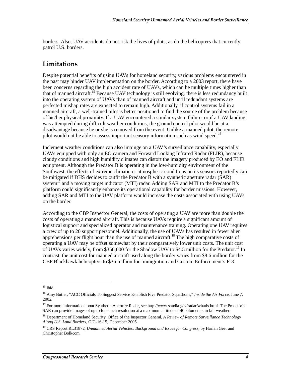borders. Also, UAV accidents do not risk the lives of pilots, as do the helicopters that currently patrol U.S. borders.

#### **Limitations**

Despite potential benefits of using UAVs for homeland security, various problems encountered in the past may hinder UAV implementation on the border. According to a 2003 report, there have been concerns regarding the high accident rate of UAVs, which can be multiple times higher than that of manned aircraft.<sup>15</sup> Because UAV technology is still evolving, there is less redundancy built into the operating system of UAVs than of manned aircraft and until redundant systems are perfected mishap rates are expected to remain high. Additionally, if control systems fail in a manned aircraft, a well-trained pilot is better positioned to find the source of the problem because of his/her physical proximity. If a UAV encountered a similar system failure, or if a UAV landing was attempted during difficult weather conditions, the ground control pilot would be at a disadvantage because he or she is removed from the event. Unlike a manned pilot, the remote pilot would not be able to assess important sensory information such as wind speed.<sup>16</sup>

Inclement weather conditions can also impinge on a UAV's surveillance capability, especially UAVs equipped with only an EO camera and Forward Looking Infrared Radar (FLIR), because cloudy conditions and high humidity climates can distort the imagery produced by EO and FLIR equipment. Although the Predator B is operating in the low-humidity environment of the Southwest, the effects of extreme climatic or atmospheric conditions on its sensors reportedly can be mitigated if DHS decides to outfit the Predator B with a synthetic aperture radar (SAR) system<sup>17</sup> and a moving target indicator (MTI) radar. Adding SAR and MTI to the Predator B's platform could significantly enhance its operational capability for border missions. However, adding SAR and MTI to the UAV platform would increase the costs associated with using UAVs on the border.

According to the CBP Inspector General, the costs of operating a UAV are more than double the costs of operating a manned aircraft. This is because UAVs require a significant amount of logistical support and specialized operator and maintenance training. Operating one UAV requires a crew of up to 20 support personnel. Additionally, the use of UAVs has resulted in fewer alien apprehensions per flight hour than the use of manned aircraft.<sup>18</sup> The high comparative costs of operating a UAV may be offset somewhat by their comparatively lower unit costs. The unit cost of UAVs varies widely, from \$350,000 for the Shadow UAV to \$4.5 million for the Predator.<sup>19</sup> In contrast, the unit cost for manned aircraft used along the border varies from \$8.6 million for the CBP Blackhawk helicopters to \$36 million for Immigration and Custom Enforcement's P-3

<u>.</u>

 $^{15}$  Ibid.

<sup>16</sup> Amy Butler, "ACC Officials To Suggest Service Establish Five Predator Squadrons," *Inside the Air Force*, June 7, 2002.

<sup>&</sup>lt;sup>17</sup> For more information about Synthetic Aperture Radar, see http://www.sandia.gov/radar/whatis.html. The Predator's SAR can provide images of up to four-inch resolution at a maximum altitude of 40 kilometers in fair weather.

<sup>18</sup> Department of Homeland Security, Office of the Inspector General, *A Review of Remote Surveillance Technology Along U.S. Land Borders*, OIG-16-15, December 2005.

<sup>19</sup> CRS Report RL31872, *Unmanned Aerial Vehicles: Background and Issues for Congress*, by Harlan Geer and Christopher Bolkcom.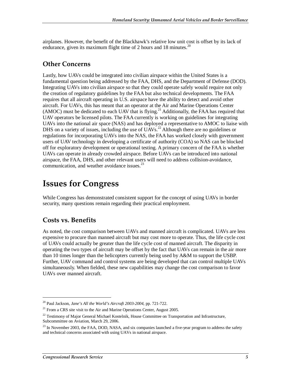airplanes. However, the benefit of the Blackhawk's relative low unit cost is offset by its lack of endurance, given its maximum flight time of 2 hours and 18 minutes.<sup>20</sup>

#### **Other Concerns**

Lastly, how UAVs could be integrated into civilian airspace within the United States is a fundamental question being addressed by the FAA, DHS, and the Department of Defense (DOD). Integrating UAVs into civilian airspace so that they could operate safely would require not only the creation of regulatory guidelines by the FAA but also technical developments. The FAA requires that all aircraft operating in U.S. airspace have the ability to detect and avoid other aircraft. For UAVs, this has meant that an operator at the Air and Marine Operations Center (AMOC) must be dedicated to each UAV that is flying.<sup>21</sup> Additionally, the FAA has required that UAV operators be licensed pilots. The FAA currently is working on guidelines for integrating UAVs into the national air space (NAS) and has deployed a representative to AMOC to liaise with DHS on a variety of issues, including the use of  $UAVs$ .<sup>22</sup> Although there are no guidelines or regulations for incorporating UAVs into the NAS, the FAA has worked closely with government users of UAV technology in developing a certificate of authority (COA) so NAS can be blocked off for exploratory development or operational testing. A primary concern of the FAA is whether UAVs can operate in already crowded airspace. Before UAVs can be introduced into national airspace, the FAA, DHS, and other relevant users will need to address collision-avoidance, communication, and weather avoidance issues. $^{23}$ 

### **Issues for Congress**

While Congress has demonstrated consistent support for the concept of using UAVs in border security, many questions remain regarding their practical employment.

#### **Costs vs. Benefits**

As noted, the cost comparison between UAVs and manned aircraft is complicated. UAVs are less expensive to procure than manned aircraft but may cost more to operate. Thus, the life cycle cost of UAVs could actually be greater than the life cycle cost of manned aircraft. The disparity in operating the two types of aircraft may be offset by the fact that UAVs can remain in the air more than 10 times longer than the helicopters currently being used by A&M to support the USBP. Further, UAV command and control systems are being developed that can control multiple UAVs simultaneously. When fielded, these new capabilities may change the cost comparison to favor UAVs over manned aircraft.

<u>.</u>

<sup>&</sup>lt;sup>20</sup> Paul Jackson, *Jane's All the World's Aircraft 2003-2004*, pp. 721-722.<br><sup>21</sup> From a CRS site visit to the Air and Marine Operations Center, August 2005.

 $^{22}$  Testimony of Major General Michael Kostelnik, House Committee on Transportation and Infrastructure, Subcommittee on Aviation, March 29, 2006.

<sup>&</sup>lt;sup>23</sup> In November 2003, the FAA, DOD, NASA, and six companies launched a five-year program to address the safety and technical concerns associated with using UAVs in national airspace.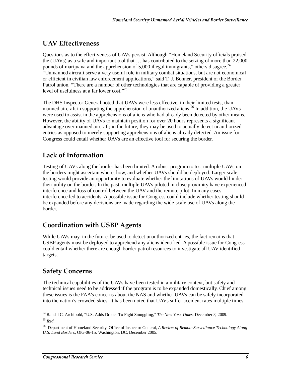### **UAV Effectiveness**

Questions as to the effectiveness of UAVs persist. Although "Homeland Security officials praised the (UAVs) as a safe and important tool that … has contributed to the seizing of more than 22,000 pounds of marijuana and the apprehension of 5,000 illegal immigrants," others disagree.<sup>24</sup> "Unmanned aircraft serve a very useful role in military combat situations, but are not economical or efficient in civilian law enforcement applications," said T. J. Bonner, president of the Border Patrol union. "There are a number of other technologies that are capable of providing a greater level of usefulness at a far lower cost."<sup>25</sup>

The DHS Inspector General noted that UAVs were less effective, in their limited tests, than manned aircraft in supporting the apprehension of unauthorized aliens.<sup>26</sup> In addition, the UAVs were used to assist in the apprehensions of aliens who had already been detected by other means. However, the ability of UAVs to maintain position for over 20 hours represents a significant advantage over manned aircraft; in the future, they may be used to actually detect unauthorized entries as opposed to merely supporting apprehensions of aliens already detected. An issue for Congress could entail whether UAVs are an effective tool for securing the border.

### **Lack of Information**

Testing of UAVs along the border has been limited. A robust program to test multiple UAVs on the borders might ascertain where, how, and whether UAVs should be deployed. Larger scale testing would provide an opportunity to evaluate whether the limitations of UAVs would hinder their utility on the border. In the past, multiple UAVs piloted in close proximity have experienced interference and loss of control between the UAV and the remote pilot. In many cases, interference led to accidents. A possible issue for Congress could include whether testing should be expanded before any decisions are made regarding the wide-scale use of UAVs along the border.

#### **Coordination with USBP Agents**

While UAVs may, in the future, be used to detect unauthorized entries, the fact remains that USBP agents must be deployed to apprehend any aliens identified. A possible issue for Congress could entail whether there are enough border patrol resources to investigate all UAV identified targets.

#### **Safety Concerns**

1

The technical capabilities of the UAVs have been tested in a military context, but safety and technical issues need to be addressed if the program is to be expanded domestically. Chief among these issues is the FAA's concerns about the NAS and whether UAVs can be safely incorporated into the nation's crowded skies. It has been noted that UAVs suffer accident rates multiple times

<sup>24</sup> Randal C. Archibold, "U.S. Adds Drones To Fight Smuggling," *The New York Times*, December 8, 2009. <sup>25</sup> *Ibid*.

<sup>26</sup> Department of Homeland Security, Office of Inspector General, *A Review of Remote Surveillance Technology Along U.S. Land Borders*, OIG-06-15, Washington, DC, December 2005.